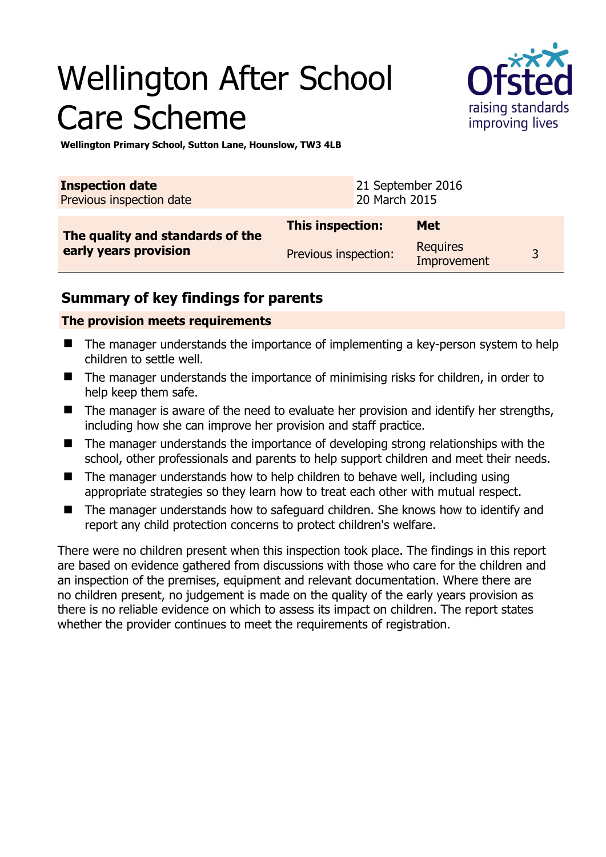# Wellington After School Care Scheme



**Wellington Primary School, Sutton Lane, Hounslow, TW3 4LB** 

| <b>Inspection date</b><br>Previous inspection date        |                         | 21 September 2016<br>20 March 2015 |                                |   |
|-----------------------------------------------------------|-------------------------|------------------------------------|--------------------------------|---|
| The quality and standards of the<br>early years provision | <b>This inspection:</b> |                                    | <b>Met</b>                     |   |
|                                                           | Previous inspection:    |                                    | <b>Requires</b><br>Improvement | 2 |

### **Summary of key findings for parents**

#### **The provision meets requirements**

- The manager understands the importance of implementing a key-person system to help children to settle well.
- The manager understands the importance of minimising risks for children, in order to help keep them safe.
- $\blacksquare$  The manager is aware of the need to evaluate her provision and identify her strengths, including how she can improve her provision and staff practice.
- The manager understands the importance of developing strong relationships with the school, other professionals and parents to help support children and meet their needs.
- The manager understands how to help children to behave well, including using appropriate strategies so they learn how to treat each other with mutual respect.
- The manager understands how to safeguard children. She knows how to identify and report any child protection concerns to protect children's welfare.

There were no children present when this inspection took place. The findings in this report are based on evidence gathered from discussions with those who care for the children and an inspection of the premises, equipment and relevant documentation. Where there are no children present, no judgement is made on the quality of the early years provision as there is no reliable evidence on which to assess its impact on children. The report states whether the provider continues to meet the requirements of registration.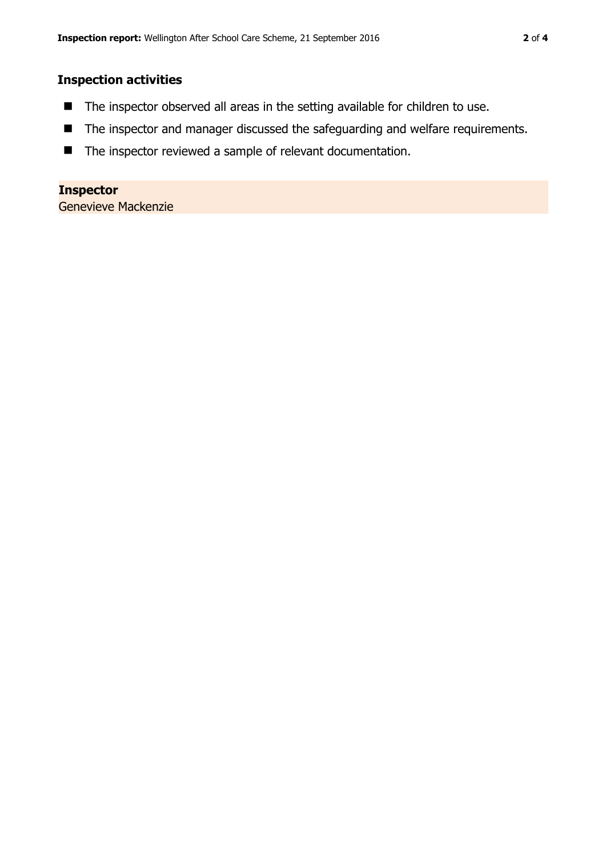#### **Inspection activities**

- The inspector observed all areas in the setting available for children to use.
- The inspector and manager discussed the safeguarding and welfare requirements.
- The inspector reviewed a sample of relevant documentation.

## **Inspector**

Genevieve Mackenzie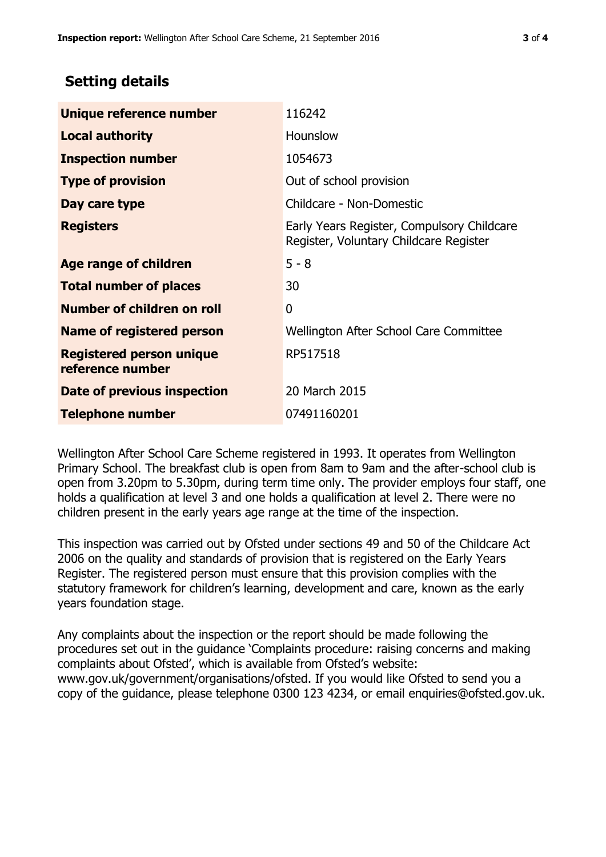### **Setting details**

| Unique reference number                             | 116242                                                                               |  |
|-----------------------------------------------------|--------------------------------------------------------------------------------------|--|
| <b>Local authority</b>                              | Hounslow                                                                             |  |
| <b>Inspection number</b>                            | 1054673                                                                              |  |
| <b>Type of provision</b>                            | Out of school provision                                                              |  |
| Day care type                                       | Childcare - Non-Domestic                                                             |  |
| <b>Registers</b>                                    | Early Years Register, Compulsory Childcare<br>Register, Voluntary Childcare Register |  |
| Age range of children                               | $5 - 8$                                                                              |  |
| <b>Total number of places</b>                       | 30                                                                                   |  |
| Number of children on roll                          | 0                                                                                    |  |
| Name of registered person                           | Wellington After School Care Committee                                               |  |
| <b>Registered person unique</b><br>reference number | RP517518                                                                             |  |
| Date of previous inspection                         | 20 March 2015                                                                        |  |
| <b>Telephone number</b>                             | 07491160201                                                                          |  |

Wellington After School Care Scheme registered in 1993. It operates from Wellington Primary School. The breakfast club is open from 8am to 9am and the after-school club is open from 3.20pm to 5.30pm, during term time only. The provider employs four staff, one holds a qualification at level 3 and one holds a qualification at level 2. There were no children present in the early years age range at the time of the inspection.

This inspection was carried out by Ofsted under sections 49 and 50 of the Childcare Act 2006 on the quality and standards of provision that is registered on the Early Years Register. The registered person must ensure that this provision complies with the statutory framework for children's learning, development and care, known as the early years foundation stage.

Any complaints about the inspection or the report should be made following the procedures set out in the guidance 'Complaints procedure: raising concerns and making complaints about Ofsted', which is available from Ofsted's website: www.gov.uk/government/organisations/ofsted. If you would like Ofsted to send you a copy of the guidance, please telephone 0300 123 4234, or email enquiries@ofsted.gov.uk.